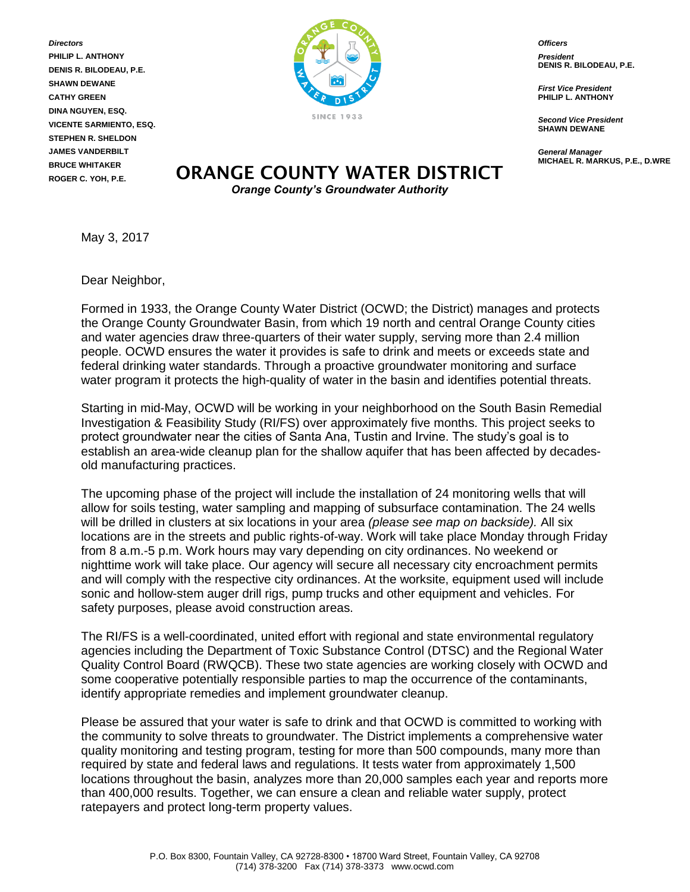*Directors* **PHILIP L. ANTHONY DENIS R. BILODEAU, P.E. SHAWN DEWANE CATHY GREEN DINA NGUYEN, ESQ. VICENTE SARMIENTO, ESQ. STEPHEN R. SHELDON JAMES VANDERBILT BRUCE WHITAKER ROGER C. YOH, P.E.**



*Officers*

*President* **DENIS R. BILODEAU, P.E.**

*First Vice President* **PHILIP L. ANTHONY**

*Second Vice President* **SHAWN DEWANE**

*General Manager* **MICHAEL R. MARKUS, P.E., D.WRE**

## **ORANGE COUNTY WATER DISTRICT** *Orange County's Groundwater Authority*

May 3, 2017

Dear Neighbor,

Formed in 1933, the Orange County Water District (OCWD; the District) manages and protects the Orange County Groundwater Basin, from which 19 north and central Orange County cities and water agencies draw three-quarters of their water supply, serving more than 2.4 million people. OCWD ensures the water it provides is safe to drink and meets or exceeds state and federal drinking water standards. Through a proactive groundwater monitoring and surface water program it protects the high-quality of water in the basin and identifies potential threats.

Starting in mid-May, OCWD will be working in your neighborhood on the South Basin Remedial Investigation & Feasibility Study (RI/FS) over approximately five months. This project seeks to protect groundwater near the cities of Santa Ana, Tustin and Irvine. The study's goal is to establish an area-wide cleanup plan for the shallow aquifer that has been affected by decadesold manufacturing practices.

The upcoming phase of the project will include the installation of 24 monitoring wells that will allow for soils testing, water sampling and mapping of subsurface contamination. The 24 wells will be drilled in clusters at six locations in your area *(please see map on backside).* All six locations are in the streets and public rights-of-way. Work will take place Monday through Friday from 8 a.m.-5 p.m. Work hours may vary depending on city ordinances. No weekend or nighttime work will take place. Our agency will secure all necessary city encroachment permits and will comply with the respective city ordinances. At the worksite, equipment used will include sonic and hollow-stem auger drill rigs, pump trucks and other equipment and vehicles. For safety purposes, please avoid construction areas.

The RI/FS is a well-coordinated, united effort with regional and state environmental regulatory agencies including the Department of Toxic Substance Control (DTSC) and the Regional Water Quality Control Board (RWQCB). These two state agencies are working closely with OCWD and some cooperative potentially responsible parties to map the occurrence of the contaminants, identify appropriate remedies and implement groundwater cleanup.

Please be assured that your water is safe to drink and that OCWD is committed to working with the community to solve threats to groundwater. The District implements a comprehensive water quality monitoring and testing program, testing for more than 500 compounds, many more than required by state and federal laws and regulations. It tests water from approximately 1,500 locations throughout the basin, analyzes more than 20,000 samples each year and reports more than 400,000 results. Together, we can ensure a clean and reliable water supply, protect ratepayers and protect long-term property values.